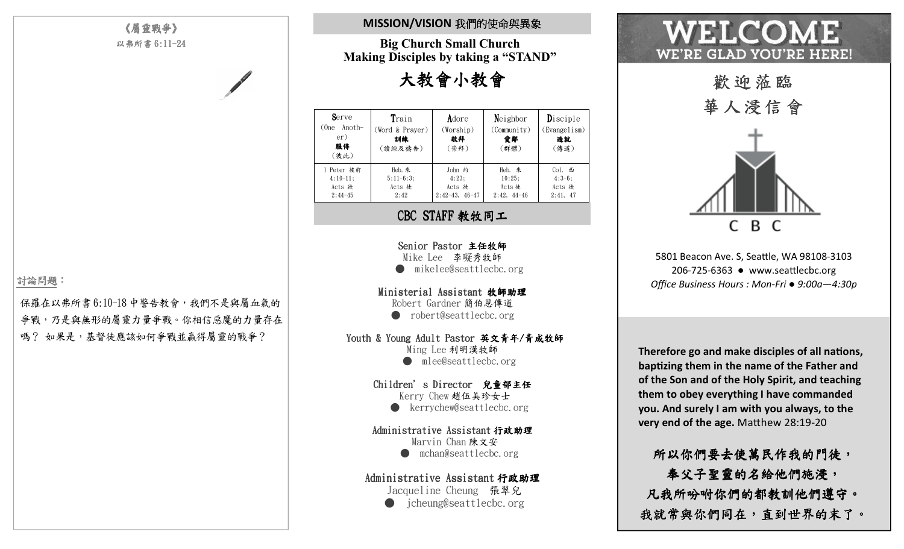## 《屬靈戰爭》以弗所書 6:11-24

#### 討論問題:

保羅在以弗所書6:10-18中警告教會,我們不是與屬血氣的爭戰,乃是與無形的屬靈力量爭戰。你相信惡魔的力量存在 嗎? 如果是,基督徒應該如何爭戰並贏得屬靈的戰爭?

# **MISSION/VISION** 我們的使命與異象

**Big Church Small Church Making Disciples by taking a "STAND"** 

大教會小教會

| Serve<br>(One Anoth-<br>er)<br>服侍<br>(彼此) | Train<br>(Word & Prayer)<br>訓練<br>(讀經及禱告) | Adore<br>(Worship)<br>敬拜<br>(崇拜) | $Ne$ ighbor<br>(Community)<br>愛鄰<br>(群體) | Disciple<br>(Evangelism)<br>造就<br>(傳道) |
|-------------------------------------------|-------------------------------------------|----------------------------------|------------------------------------------|----------------------------------------|
| 1 Peter 彼前                                | Heb. 來                                    | John 约                           | Heb. 來                                   | Col. 西                                 |
| $4:10-11:$                                | $5:11-6:3$ :                              | 4:23:                            | 10:25:                                   | $4:3-6:$                               |
| Acts 徒                                    | Acts 徒                                    | Acts 徒                           | Acts 徒                                   | Acts 徒                                 |
| $2:44-45$                                 | 2:42                                      | $2:42-43, 46-47$                 | $2:42, 44-46$                            | 2:41, 47                               |

#### CBC STAFF 教牧同工

Senior Pastor 主任牧師 Mike Lee 李㘈秀牧師● mikelee@seattlecbc.org

Ministerial Assistant 牧師助理Robert Gardner 簡伯恩傳道● robert@seattlecbc.org

#### Youth & Young Adult Pastor 英文青年/青成牧師

Ming Lee 利明漢牧師● mlee@seattlecbc.org

Children's Director 兒童部主任Kerry Chew 趙伍美珍女士 ● kerrychew@seattlecbc.org

Administrative Assistant 行政助理

Marvin Chan 陳文安 ● mchan@seattlecbc.org

### Administrative Assistant 行政助理

Jacqueline Cheung 張翠兒● jcheung@seattlecbc.org

# WHI.CO WE'RE GLAD YOU'RE HERE!



5801 Beacon Ave. S, Seattle, WA 98108-3103 206-725-6363 ● www.seattlecbc.org *Office Business Hours : Mon-Fri ● 9:00a—4:30p* 

**Therefore go and make disciples of all nations, bapzing them in the name of the Father and of the Son and of the Holy Spirit, and teaching them to obey everything I have commanded you. And surely I am with you always, to the very end of the age.** Matthew 28:19-20

所以你們要去使萬民作我的門徒, 奉父子聖靈的名給他們施浸, 凡我所吩咐你們的都教訓他們遵守。我就常與你們同在,直到世界的末了 ,直到世界的末了。